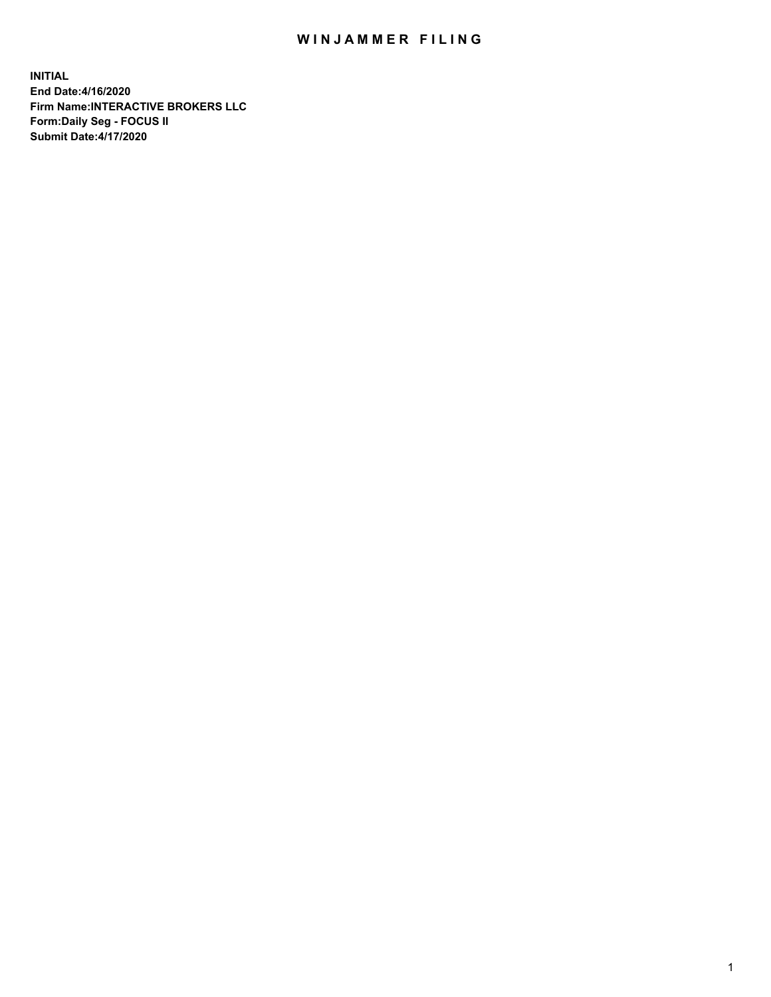## WIN JAMMER FILING

**INITIAL End Date:4/16/2020 Firm Name:INTERACTIVE BROKERS LLC Form:Daily Seg - FOCUS II Submit Date:4/17/2020**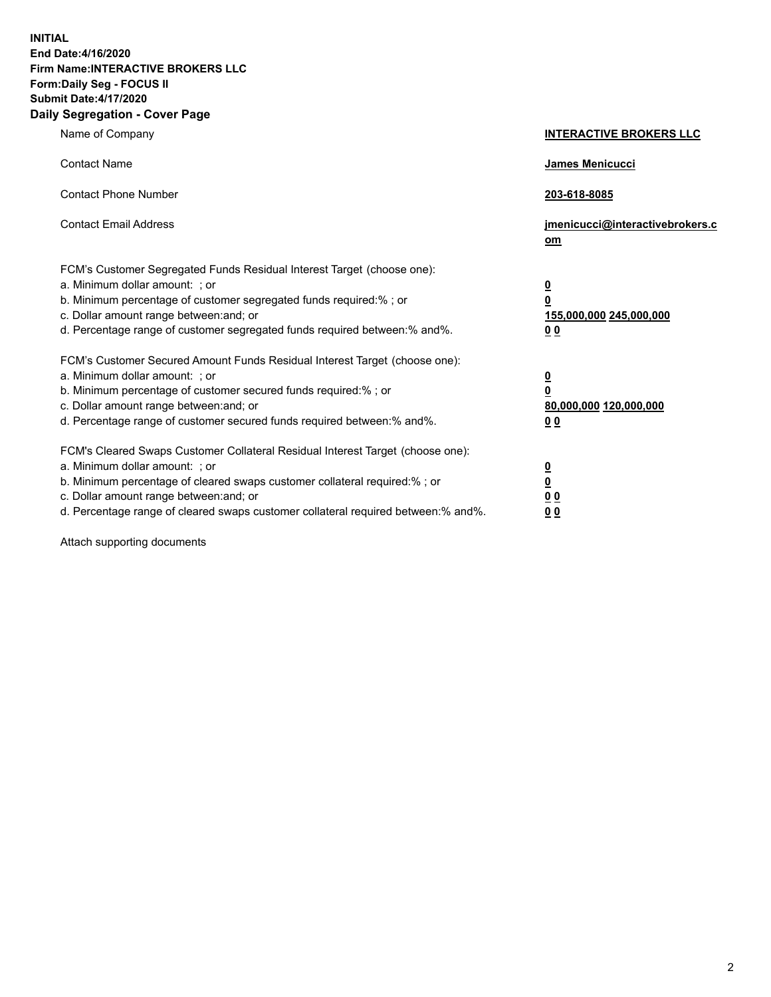**INITIAL End Date:4/16/2020 Firm Name:INTERACTIVE BROKERS LLC Form:Daily Seg - FOCUS II Submit Date:4/17/2020 Daily Segregation - Cover Page**

| Name of Company                                                                                                                                                                                                                                                                                                                | <b>INTERACTIVE BROKERS LLC</b>                                                   |  |
|--------------------------------------------------------------------------------------------------------------------------------------------------------------------------------------------------------------------------------------------------------------------------------------------------------------------------------|----------------------------------------------------------------------------------|--|
| <b>Contact Name</b>                                                                                                                                                                                                                                                                                                            | James Menicucci                                                                  |  |
| <b>Contact Phone Number</b>                                                                                                                                                                                                                                                                                                    | 203-618-8085                                                                     |  |
| <b>Contact Email Address</b>                                                                                                                                                                                                                                                                                                   | jmenicucci@interactivebrokers.c<br>om                                            |  |
| FCM's Customer Segregated Funds Residual Interest Target (choose one):<br>a. Minimum dollar amount: ; or<br>b. Minimum percentage of customer segregated funds required:% ; or<br>c. Dollar amount range between: and; or<br>d. Percentage range of customer segregated funds required between:% and%.                         | <u>0</u><br>$\overline{\mathbf{0}}$<br>155,000,000 245,000,000<br>0 <sub>0</sub> |  |
| FCM's Customer Secured Amount Funds Residual Interest Target (choose one):<br>a. Minimum dollar amount: ; or<br>b. Minimum percentage of customer secured funds required:% ; or<br>c. Dollar amount range between: and; or<br>d. Percentage range of customer secured funds required between:% and%.                           | <u>0</u><br>$\overline{\mathbf{0}}$<br>80,000,000 120,000,000<br>0 <sub>0</sub>  |  |
| FCM's Cleared Swaps Customer Collateral Residual Interest Target (choose one):<br>a. Minimum dollar amount: ; or<br>b. Minimum percentage of cleared swaps customer collateral required:% ; or<br>c. Dollar amount range between: and; or<br>d. Percentage range of cleared swaps customer collateral required between:% and%. | <u>0</u><br>$\underline{\mathbf{0}}$<br>0 <sub>0</sub><br>0 <sub>0</sub>         |  |

Attach supporting documents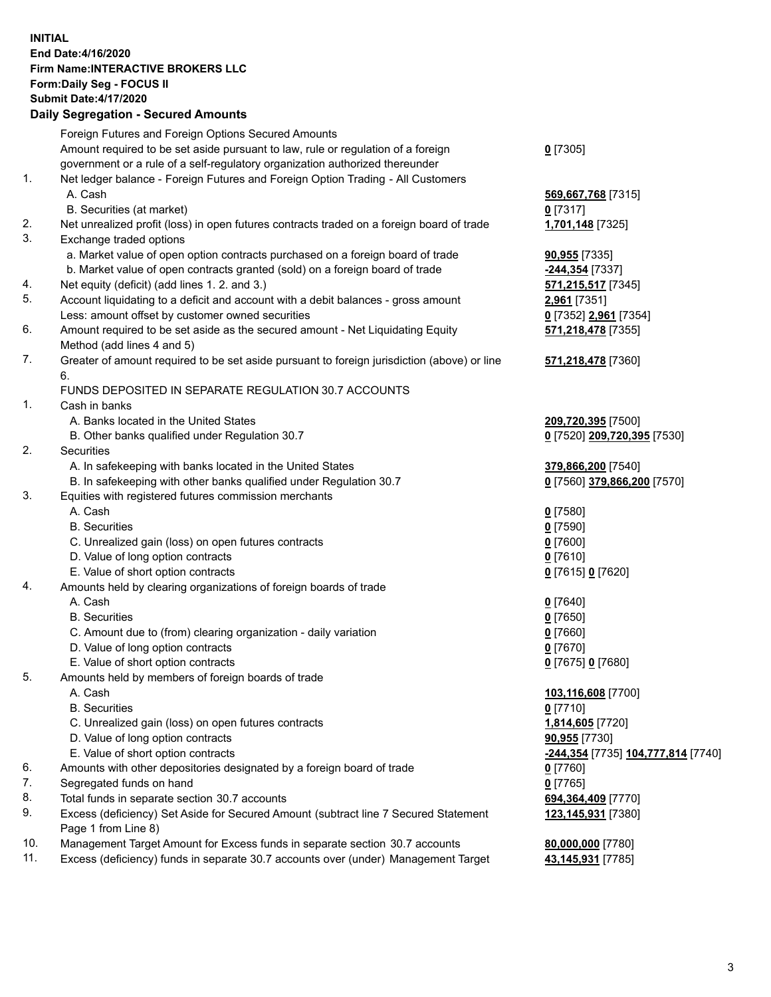**INITIAL End Date:4/16/2020 Firm Name:INTERACTIVE BROKERS LLC Form:Daily Seg - FOCUS II Submit Date:4/17/2020 Daily Segregation - Secured Amounts**

## Foreign Futures and Foreign Options Secured Amounts Amount required to be set aside pursuant to law, rule or regulation of a foreign government or a rule of a self-regulatory organization authorized thereunder **0** [7305] 1. Net ledger balance - Foreign Futures and Foreign Option Trading - All Customers A. Cash **569,667,768** [7315] B. Securities (at market) **0** [7317] 2. Net unrealized profit (loss) in open futures contracts traded on a foreign board of trade **1,701,148** [7325] 3. Exchange traded options a. Market value of open option contracts purchased on a foreign board of trade **90,955** [7335] b. Market value of open contracts granted (sold) on a foreign board of trade **-244,354** [7337] 4. Net equity (deficit) (add lines 1. 2. and 3.) **571,215,517** [7345] 5. Account liquidating to a deficit and account with a debit balances - gross amount **2,961** [7351] Less: amount offset by customer owned securities **0** [7352] **2,961** [7354] 6. Amount required to be set aside as the secured amount - Net Liquidating Equity Method (add lines 4 and 5) **571,218,478** [7355] 7. Greater of amount required to be set aside pursuant to foreign jurisdiction (above) or line 6. **571,218,478** [7360] FUNDS DEPOSITED IN SEPARATE REGULATION 30.7 ACCOUNTS 1. Cash in banks A. Banks located in the United States **209,720,395** [7500] B. Other banks qualified under Regulation 30.7 **0** [7520] **209,720,395** [7530] 2. Securities A. In safekeeping with banks located in the United States **379,866,200** [7540] B. In safekeeping with other banks qualified under Regulation 30.7 **0** [7560] **379,866,200** [7570] 3. Equities with registered futures commission merchants A. Cash **0** [7580] B. Securities **0** [7590] C. Unrealized gain (loss) on open futures contracts **0** [7600] D. Value of long option contracts **0** [7610] E. Value of short option contracts **0** [7615] **0** [7620] 4. Amounts held by clearing organizations of foreign boards of trade A. Cash **0** [7640] B. Securities **0** [7650] C. Amount due to (from) clearing organization - daily variation **0** [7660] D. Value of long option contracts **0** [7670] E. Value of short option contracts **0** [7675] **0** [7680] 5. Amounts held by members of foreign boards of trade A. Cash **103,116,608** [7700] B. Securities **0** [7710] C. Unrealized gain (loss) on open futures contracts **1,814,605** [7720] D. Value of long option contracts **90,955** [7730] E. Value of short option contracts **-244,354** [7735] **104,777,814** [7740] 6. Amounts with other depositories designated by a foreign board of trade **0** [7760] 7. Segregated funds on hand **0** [7765] 8. Total funds in separate section 30.7 accounts **694,364,409** [7770] 9. Excess (deficiency) Set Aside for Secured Amount (subtract line 7 Secured Statement Page 1 from Line 8) **123,145,931** [7380] 10. Management Target Amount for Excess funds in separate section 30.7 accounts **80,000,000** [7780] 11. Excess (deficiency) funds in separate 30.7 accounts over (under) Management Target **43,145,931** [7785]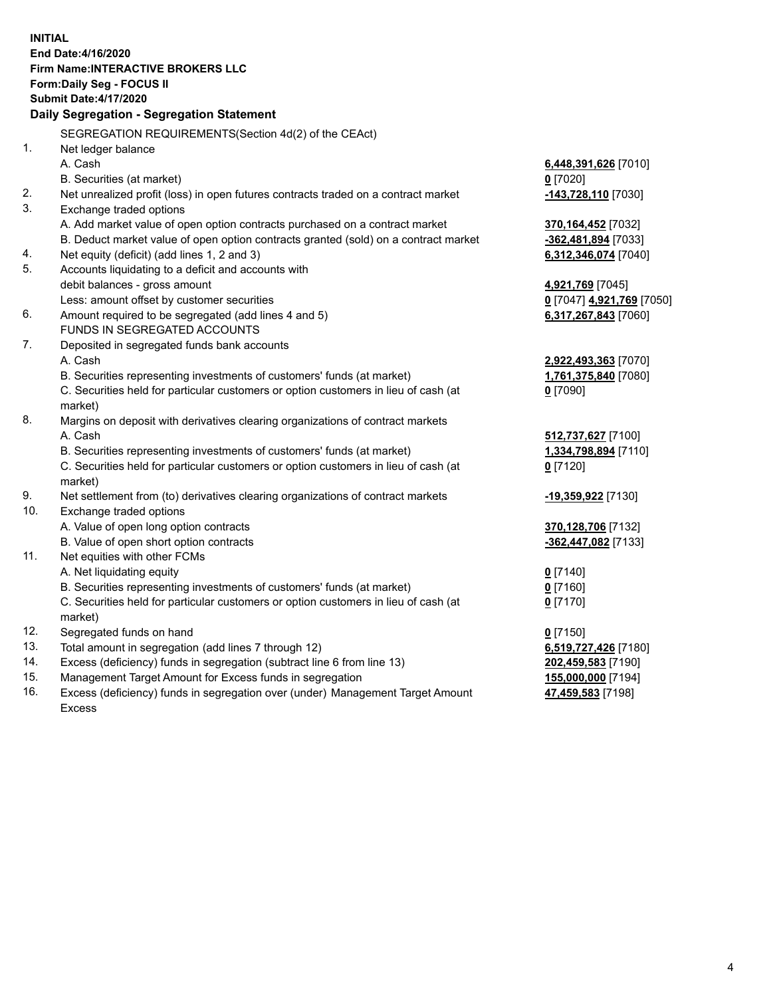**INITIAL End Date:4/16/2020 Firm Name:INTERACTIVE BROKERS LLC Form:Daily Seg - FOCUS II Submit Date:4/17/2020 Daily Segregation - Segregation Statement** SEGREGATION REQUIREMENTS(Section 4d(2) of the CEAct) 1. Net ledger balance A. Cash **6,448,391,626** [7010] B. Securities (at market) **0** [7020] 2. Net unrealized profit (loss) in open futures contracts traded on a contract market **-143,728,110** [7030] 3. Exchange traded options A. Add market value of open option contracts purchased on a contract market **370,164,452** [7032] B. Deduct market value of open option contracts granted (sold) on a contract market **-362,481,894** [7033] 4. Net equity (deficit) (add lines 1, 2 and 3) **6,312,346,074** [7040] 5. Accounts liquidating to a deficit and accounts with debit balances - gross amount **4,921,769** [7045] Less: amount offset by customer securities **0** [7047] **4,921,769** [7050] 6. Amount required to be segregated (add lines 4 and 5) **6,317,267,843** [7060] FUNDS IN SEGREGATED ACCOUNTS 7. Deposited in segregated funds bank accounts A. Cash **2,922,493,363** [7070] B. Securities representing investments of customers' funds (at market) **1,761,375,840** [7080] C. Securities held for particular customers or option customers in lieu of cash (at market) **0** [7090] 8. Margins on deposit with derivatives clearing organizations of contract markets A. Cash **512,737,627** [7100] B. Securities representing investments of customers' funds (at market) **1,334,798,894** [7110] C. Securities held for particular customers or option customers in lieu of cash (at market) **0** [7120] 9. Net settlement from (to) derivatives clearing organizations of contract markets **-19,359,922** [7130] 10. Exchange traded options A. Value of open long option contracts **370,128,706** [7132] B. Value of open short option contracts **-362,447,082** [7133] 11. Net equities with other FCMs A. Net liquidating equity **0** [7140] B. Securities representing investments of customers' funds (at market) **0** [7160] C. Securities held for particular customers or option customers in lieu of cash (at market) **0** [7170] 12. Segregated funds on hand **0** [7150] 13. Total amount in segregation (add lines 7 through 12) **6,519,727,426** [7180] 14. Excess (deficiency) funds in segregation (subtract line 6 from line 13) **202,459,583** [7190] 15. Management Target Amount for Excess funds in segregation **155,000,000** [7194] 16. Excess (deficiency) funds in segregation over (under) Management Target Amount Excess **47,459,583** [7198]